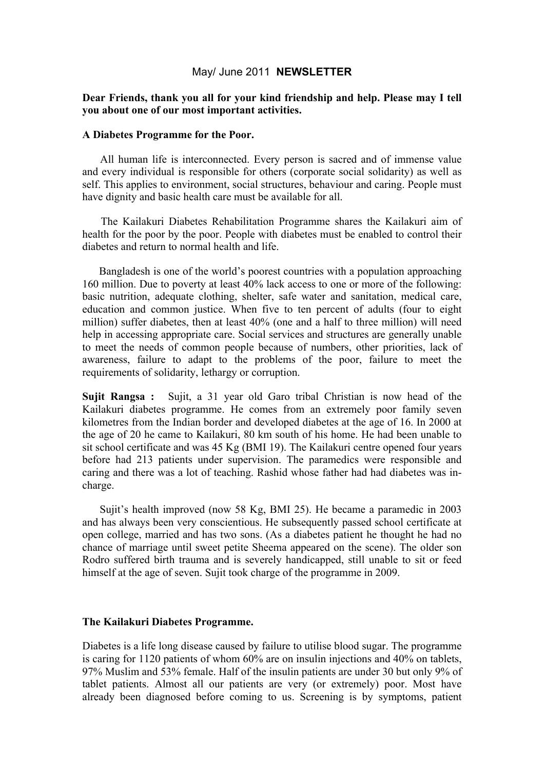### May/ June 2011 **NEWSLETTER**

## **Dear Friends, thank you all for your kind friendship and help. Please may I tell you about one of our most important activities.**

#### **A Diabetes Programme for the Poor.**

All human life is interconnected. Every person is sacred and of immense value and every individual is responsible for others (corporate social solidarity) as well as self. This applies to environment, social structures, behaviour and caring. People must have dignity and basic health care must be available for all.

The Kailakuri Diabetes Rehabilitation Programme shares the Kailakuri aim of health for the poor by the poor. People with diabetes must be enabled to control their diabetes and return to normal health and life.

Bangladesh is one of the world's poorest countries with a population approaching 160 million. Due to poverty at least 40% lack access to one or more of the following: basic nutrition, adequate clothing, shelter, safe water and sanitation, medical care, education and common justice. When five to ten percent of adults (four to eight million) suffer diabetes, then at least 40% (one and a half to three million) will need help in accessing appropriate care. Social services and structures are generally unable to meet the needs of common people because of numbers, other priorities, lack of awareness, failure to adapt to the problems of the poor, failure to meet the requirements of solidarity, lethargy or corruption.

**Sujit Rangsa :** Sujit, a 31 year old Garo tribal Christian is now head of the Kailakuri diabetes programme. He comes from an extremely poor family seven kilometres from the Indian border and developed diabetes at the age of 16. In 2000 at the age of 20 he came to Kailakuri, 80 km south of his home. He had been unable to sit school certificate and was 45 Kg (BMI 19). The Kailakuri centre opened four years before had 213 patients under supervision. The paramedics were responsible and caring and there was a lot of teaching. Rashid whose father had had diabetes was incharge.

Sujit's health improved (now 58 Kg, BMI 25). He became a paramedic in 2003 and has always been very conscientious. He subsequently passed school certificate at open college, married and has two sons. (As a diabetes patient he thought he had no chance of marriage until sweet petite Sheema appeared on the scene). The older son Rodro suffered birth trauma and is severely handicapped, still unable to sit or feed himself at the age of seven. Sujit took charge of the programme in 2009.

### **The Kailakuri Diabetes Programme.**

Diabetes is a life long disease caused by failure to utilise blood sugar. The programme is caring for 1120 patients of whom 60% are on insulin injections and 40% on tablets, 97% Muslim and 53% female. Half of the insulin patients are under 30 but only 9% of tablet patients. Almost all our patients are very (or extremely) poor. Most have already been diagnosed before coming to us. Screening is by symptoms, patient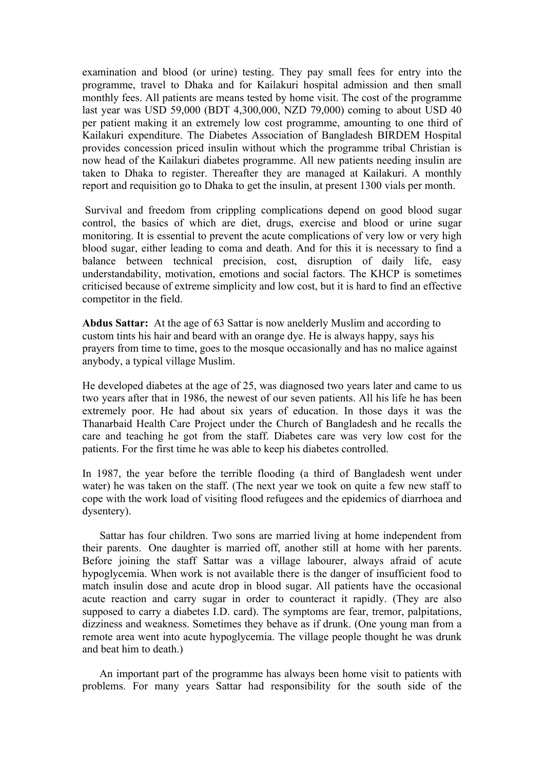examination and blood (or urine) testing. They pay small fees for entry into the programme, travel to Dhaka and for Kailakuri hospital admission and then small monthly fees. All patients are means tested by home visit. The cost of the programme last year was USD 59,000 (BDT 4,300,000, NZD 79,000) coming to about USD 40 per patient making it an extremely low cost programme, amounting to one third of Kailakuri expenditure. The Diabetes Association of Bangladesh BIRDEM Hospital provides concession priced insulin without which the programme tribal Christian is now head of the Kailakuri diabetes programme. All new patients needing insulin are taken to Dhaka to register. Thereafter they are managed at Kailakuri. A monthly report and requisition go to Dhaka to get the insulin, at present 1300 vials per month.

Survival and freedom from crippling complications depend on good blood sugar control, the basics of which are diet, drugs, exercise and blood or urine sugar monitoring. It is essential to prevent the acute complications of very low or very high blood sugar, either leading to coma and death. And for this it is necessary to find a balance between technical precision, cost, disruption of daily life, easy understandability, motivation, emotions and social factors. The KHCP is sometimes criticised because of extreme simplicity and low cost, but it is hard to find an effective competitor in the field.

**Abdus Sattar:** At the age of 63 Sattar is now anelderly Muslim and according to custom tints his hair and beard with an orange dye. He is always happy, says his prayers from time to time, goes to the mosque occasionally and has no malice against anybody, a typical village Muslim.

He developed diabetes at the age of 25, was diagnosed two years later and came to us two years after that in 1986, the newest of our seven patients. All his life he has been extremely poor. He had about six years of education. In those days it was the Thanarbaid Health Care Project under the Church of Bangladesh and he recalls the care and teaching he got from the staff. Diabetes care was very low cost for the patients. For the first time he was able to keep his diabetes controlled.

In 1987, the year before the terrible flooding (a third of Bangladesh went under water) he was taken on the staff. (The next year we took on quite a few new staff to cope with the work load of visiting flood refugees and the epidemics of diarrhoea and dysentery).

Sattar has four children. Two sons are married living at home independent from their parents. One daughter is married off, another still at home with her parents. Before joining the staff Sattar was a village labourer, always afraid of acute hypoglycemia. When work is not available there is the danger of insufficient food to match insulin dose and acute drop in blood sugar. All patients have the occasional acute reaction and carry sugar in order to counteract it rapidly. (They are also supposed to carry a diabetes I.D. card). The symptoms are fear, tremor, palpitations, dizziness and weakness. Sometimes they behave as if drunk. (One young man from a remote area went into acute hypoglycemia. The village people thought he was drunk and beat him to death.)

An important part of the programme has always been home visit to patients with problems. For many years Sattar had responsibility for the south side of the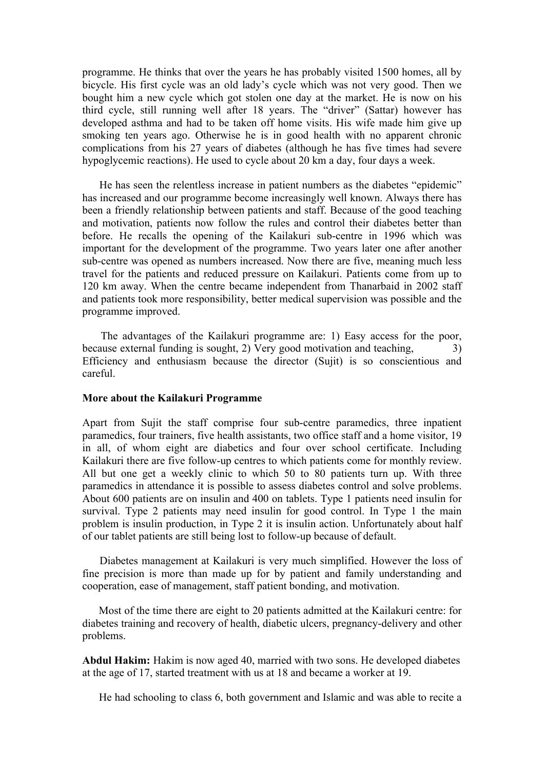programme. He thinks that over the years he has probably visited 1500 homes, all by bicycle. His first cycle was an old lady's cycle which was not very good. Then we bought him a new cycle which got stolen one day at the market. He is now on his third cycle, still running well after 18 years. The "driver" (Sattar) however has developed asthma and had to be taken off home visits. His wife made him give up smoking ten years ago. Otherwise he is in good health with no apparent chronic complications from his 27 years of diabetes (although he has five times had severe hypoglycemic reactions). He used to cycle about 20 km a day, four days a week.

He has seen the relentless increase in patient numbers as the diabetes "epidemic" has increased and our programme become increasingly well known. Always there has been a friendly relationship between patients and staff. Because of the good teaching and motivation, patients now follow the rules and control their diabetes better than before. He recalls the opening of the Kailakuri sub-centre in 1996 which was important for the development of the programme. Two years later one after another sub-centre was opened as numbers increased. Now there are five, meaning much less travel for the patients and reduced pressure on Kailakuri. Patients come from up to 120 km away. When the centre became independent from Thanarbaid in 2002 staff and patients took more responsibility, better medical supervision was possible and the programme improved.

The advantages of the Kailakuri programme are: 1) Easy access for the poor, because external funding is sought, 2) Very good motivation and teaching,  $\qquad \qquad$  3) Efficiency and enthusiasm because the director (Sujit) is so conscientious and careful.

#### **More about the Kailakuri Programme**

Apart from Sujit the staff comprise four sub-centre paramedics, three inpatient paramedics, four trainers, five health assistants, two office staff and a home visitor, 19 in all, of whom eight are diabetics and four over school certificate. Including Kailakuri there are five follow-up centres to which patients come for monthly review. All but one get a weekly clinic to which 50 to 80 patients turn up. With three paramedics in attendance it is possible to assess diabetes control and solve problems. About 600 patients are on insulin and 400 on tablets. Type 1 patients need insulin for survival. Type 2 patients may need insulin for good control. In Type 1 the main problem is insulin production, in Type 2 it is insulin action. Unfortunately about half of our tablet patients are still being lost to follow-up because of default.

Diabetes management at Kailakuri is very much simplified. However the loss of fine precision is more than made up for by patient and family understanding and cooperation, ease of management, staff patient bonding, and motivation.

Most of the time there are eight to 20 patients admitted at the Kailakuri centre: for diabetes training and recovery of health, diabetic ulcers, pregnancy-delivery and other problems.

**Abdul Hakim:** Hakim is now aged 40, married with two sons. He developed diabetes at the age of 17, started treatment with us at 18 and became a worker at 19.

He had schooling to class 6, both government and Islamic and was able to recite a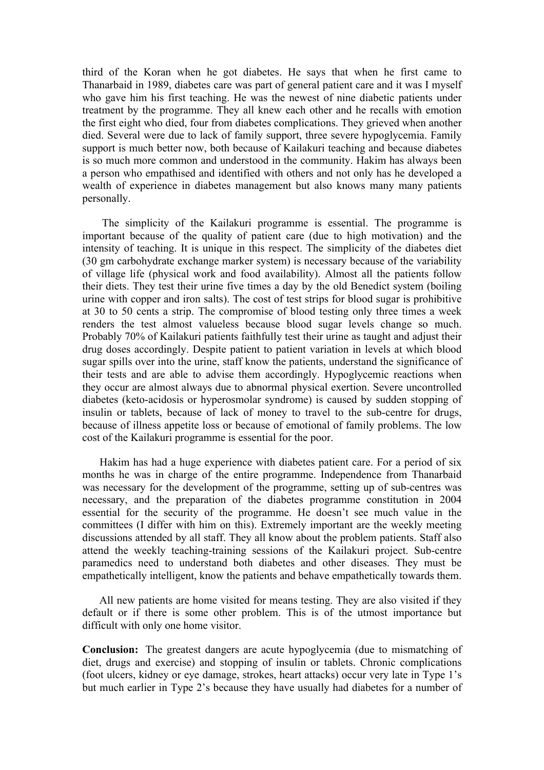third of the Koran when he got diabetes. He says that when he first came to Thanarbaid in 1989, diabetes care was part of general patient care and it was I myself who gave him his first teaching. He was the newest of nine diabetic patients under treatment by the programme. They all knew each other and he recalls with emotion the first eight who died, four from diabetes complications. They grieved when another died. Several were due to lack of family support, three severe hypoglycemia. Family support is much better now, both because of Kailakuri teaching and because diabetes is so much more common and understood in the community. Hakim has always been a person who empathised and identified with others and not only has he developed a wealth of experience in diabetes management but also knows many many patients personally.

The simplicity of the Kailakuri programme is essential. The programme is important because of the quality of patient care (due to high motivation) and the intensity of teaching. It is unique in this respect. The simplicity of the diabetes diet (30 gm carbohydrate exchange marker system) is necessary because of the variability of village life (physical work and food availability). Almost all the patients follow their diets. They test their urine five times a day by the old Benedict system (boiling urine with copper and iron salts). The cost of test strips for blood sugar is prohibitive at 30 to 50 cents a strip. The compromise of blood testing only three times a week renders the test almost valueless because blood sugar levels change so much. Probably 70% of Kailakuri patients faithfully test their urine as taught and adjust their drug doses accordingly. Despite patient to patient variation in levels at which blood sugar spills over into the urine, staff know the patients, understand the significance of their tests and are able to advise them accordingly. Hypoglycemic reactions when they occur are almost always due to abnormal physical exertion. Severe uncontrolled diabetes (keto-acidosis or hyperosmolar syndrome) is caused by sudden stopping of insulin or tablets, because of lack of money to travel to the sub-centre for drugs, because of illness appetite loss or because of emotional of family problems. The low cost of the Kailakuri programme is essential for the poor.

Hakim has had a huge experience with diabetes patient care. For a period of six months he was in charge of the entire programme. Independence from Thanarbaid was necessary for the development of the programme, setting up of sub-centres was necessary, and the preparation of the diabetes programme constitution in 2004 essential for the security of the programme. He doesn't see much value in the committees (I differ with him on this). Extremely important are the weekly meeting discussions attended by all staff. They all know about the problem patients. Staff also attend the weekly teaching-training sessions of the Kailakuri project. Sub-centre paramedics need to understand both diabetes and other diseases. They must be empathetically intelligent, know the patients and behave empathetically towards them.

All new patients are home visited for means testing. They are also visited if they default or if there is some other problem. This is of the utmost importance but difficult with only one home visitor.

**Conclusion:** The greatest dangers are acute hypoglycemia (due to mismatching of diet, drugs and exercise) and stopping of insulin or tablets. Chronic complications (foot ulcers, kidney or eye damage, strokes, heart attacks) occur very late in Type 1's but much earlier in Type 2's because they have usually had diabetes for a number of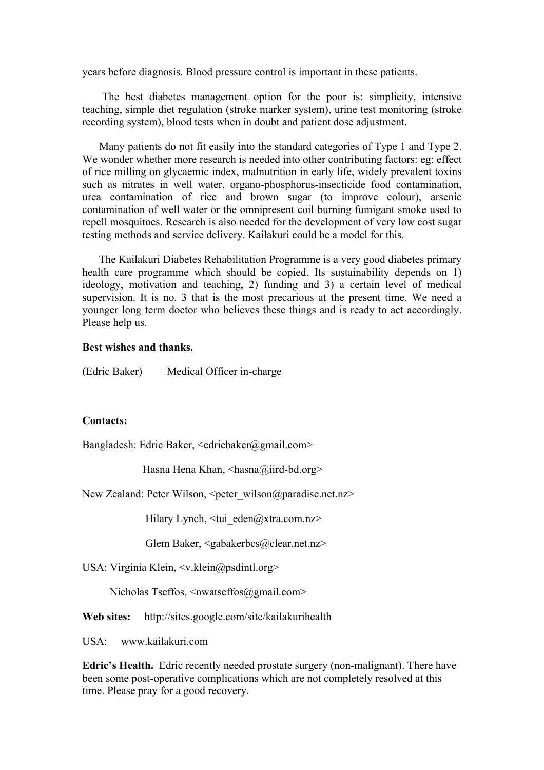years before diagnosis. Blood pressure control is important in these patients.

The best diabetes management option for the poor is: simplicity, intensive teaching, simple diet regulation (stroke marker system), urine test monitoring (stroke recording system), blood tests when in doubt and patient dose adjustment.

Many patients do not fit easily into the standard categories of Type 1 and Type 2. We wonder whether more research is needed into other contributing factors: eg: effect of rice milling on glycaemic index, malnutrition in early life, widely prevalent toxins such as nitrates in well water, organo-phosphorus-insecticide food contamination, urea contamination of rice and brown sugar (to improve colour), arsenic contamination of well water or the omnipresent coil burning fumigant smoke used to repell mosquitoes. Research is also needed for the development of very low cost sugar testing methods and service delivery. Kailakuri could be a model for this.

The Kailakuri Diabetes Rehabilitation Programme is a very good diabetes primary health care programme which should be copied. Its sustainability depends on 1) ideology, motivation and teaching, 2) funding and 3) a certain level of medical supervision. It is no. 3 that is the most precarious at the present time. We need a younger long term doctor who believes these things and is ready to act accordingly. Please help us.

# **Best wishes and thanks.**

(Edric Baker) Medical Officer in-charge

#### **Contacts:**

Bangladesh: Edric Baker,  $\leq$ edric $b$ aker $\omega$ gmail.com>

Hasna Hena Khan, <hasna@iird-bd.org>

New Zealand: Peter Wilson,  $\leq$ peter wilson@paradise.net.nz>

Hilary Lynch,  $\langle \text{tui} \cdot \text{eden}(\hat{\mathbf{\omega}}) \rangle$ xtra.com.nz>

Glem Baker, <gabakerbcs@clear.net.nz>

USA: Virginia Klein, <v.klein@psdintl.org>

Nicholas Tseffos, <nwatseffos@gmail.com>

**Web sites:** http://sites.google.com/site/kailakurihealth

USA: www.kailakuri.com

**Edric's Health.** Edric recently needed prostate surgery (non-malignant). There have been some post-operative complications which are not completely resolved at this time. Please pray for a good recovery.